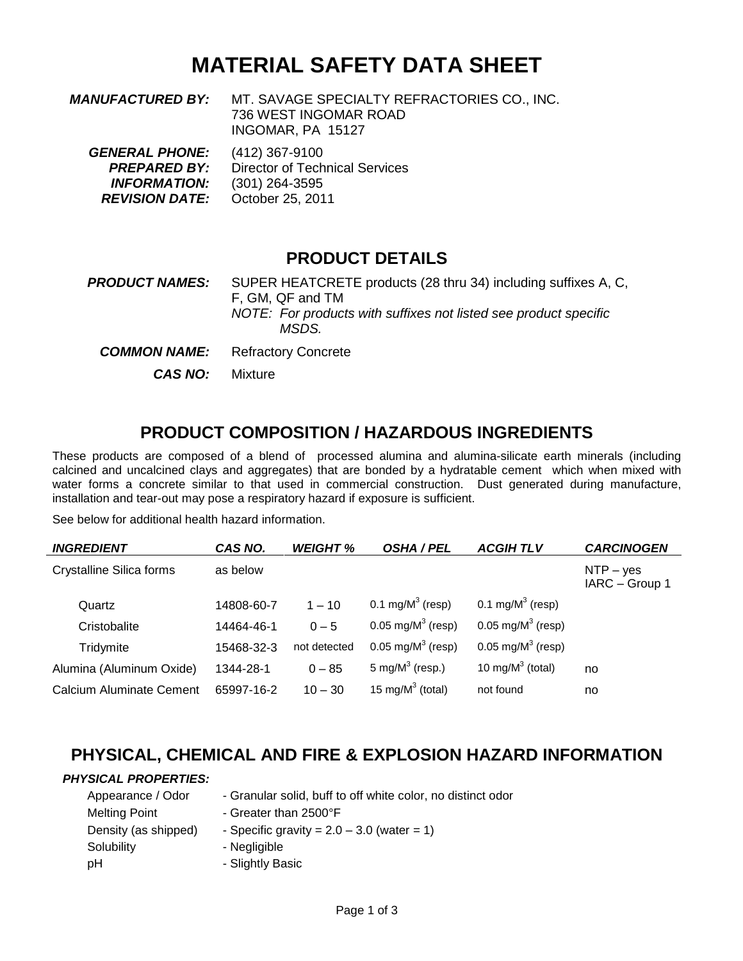## **MATERIAL SAFETY DATA SHEET**

| <i><b>MANUFACTURED BY:</b></i> | MT. SAVAGE SPECIALTY REFRACTORIES CO., INC. |
|--------------------------------|---------------------------------------------|
|                                | 736 WEST INGOMAR ROAD                       |
|                                | INGOMAR, PA 15127                           |

*GENERAL PHONE:* (412) 367-9100 **PREPARED BY:** Director of Technical Services *INFORMATION:* (301) 264-3595 *REVISION DATE:* October 25, 2011

#### **PRODUCT DETAILS**

**PRODUCT NAMES:** SUPER HEATCRETE products (28 thru 34) including suffixes A, C, F, GM, QF and TM *NOTE: For products with suffixes not listed see product specific MSDS. COMMON NAME:* Refractory Concrete

*CAS NO:* Mixture

### **PRODUCT COMPOSITION / HAZARDOUS INGREDIENTS**

These products are composed of a blend of processed alumina and alumina-silicate earth minerals (including calcined and uncalcined clays and aggregates) that are bonded by a hydratable cement which when mixed with water forms a concrete similar to that used in commercial construction. Dust generated during manufacture, installation and tear-out may pose a respiratory hazard if exposure is sufficient.

See below for additional health hazard information.

| <b>INGREDIENT</b>               | CAS NO.    | <b>WEIGHT %</b> | <b>OSHA / PEL</b>            | <b>ACGIHTLV</b>              | <b>CARCINOGEN</b>             |
|---------------------------------|------------|-----------------|------------------------------|------------------------------|-------------------------------|
| <b>Crystalline Silica forms</b> | as below   |                 |                              |                              | $NTP - yes$<br>IARC - Group 1 |
| Quartz                          | 14808-60-7 | $1 - 10$        | 0.1 mg/ $M^3$ (resp)         | 0.1 mg/ $M^3$ (resp)         |                               |
| Cristobalite                    | 14464-46-1 | $0 - 5$         | $0.05 \text{ mg/M}^3$ (resp) | $0.05 \text{ mg/M}^3$ (resp) |                               |
| Tridymite                       | 15468-32-3 | not detected    | $0.05 \text{ mg/M}^3$ (resp) | $0.05 \text{ mg/M}^3$ (resp) |                               |
| Alumina (Aluminum Oxide)        | 1344-28-1  | $0 - 85$        | 5 mg/ $M^3$ (resp.)          | 10 mg/ $M^3$ (total)         | no                            |
| Calcium Aluminate Cement        | 65997-16-2 | $10 - 30$       | 15 mg/ $M^3$ (total)         | not found                    | no                            |

### **PHYSICAL, CHEMICAL AND FIRE & EXPLOSION HAZARD INFORMATION**

#### *PHYSICAL PROPERTIES:*

- Appearance / Odor Granular solid, buff to off white color, no distinct odor
- Melting Point Greater than 2500°F Density (as shipped) - Specific gravity =  $2.0 - 3.0$  (water = 1) Solubility - Negligible pH - Slightly Basic
	-
	-
	-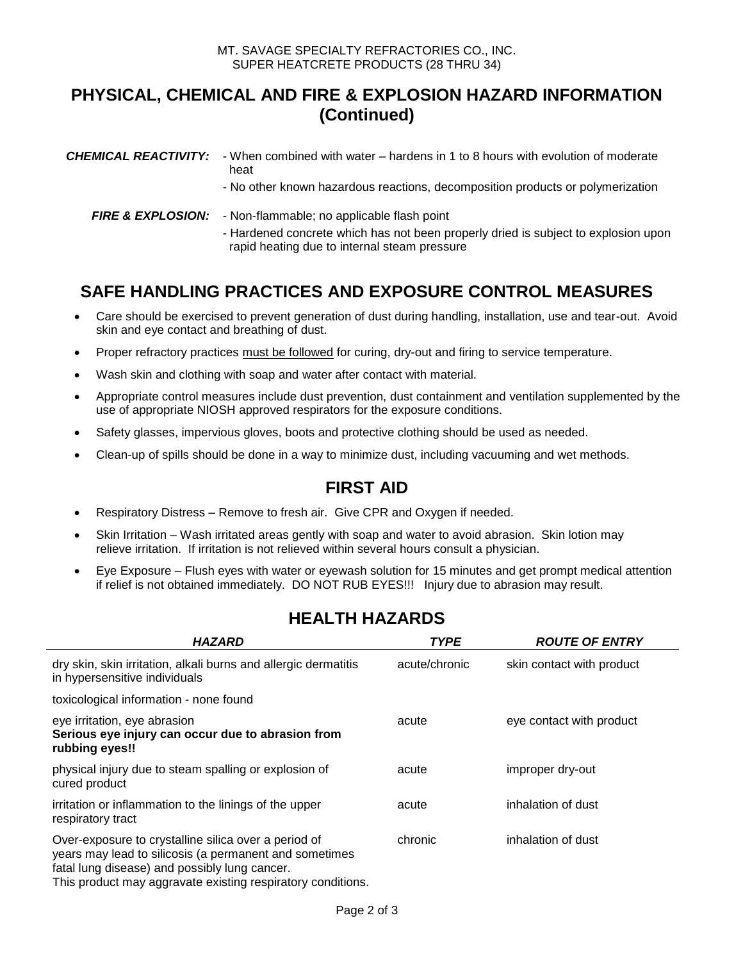### **PHYSICAL, CHEMICAL AND FIRE & EXPLOSION HAZARD INFORMATION (Continued)**

| <b>CHEMICAL REACTIVITY:</b> - When combined with water – hardens in 1 to 8 hours with evolution of moderate<br>heat<br>- No other known hazardous reactions, decomposition products or polymerization         |
|---------------------------------------------------------------------------------------------------------------------------------------------------------------------------------------------------------------|
| <b>FIRE &amp; EXPLOSION:</b> - Non-flammable; no applicable flash point<br>- Hardened concrete which has not been properly dried is subject to explosion upon<br>rapid heating due to internal steam pressure |

## **SAFE HANDLING PRACTICES AND EXPOSURE CONTROL MEASURES**

- Care should be exercised to prevent generation of dust during handling, installation, use and tear-out. Avoid skin and eye contact and breathing of dust.
- Proper refractory practices must be followed for curing, dry-out and firing to service temperature.
- Wash skin and clothing with soap and water after contact with material.
- Appropriate control measures include dust prevention, dust containment and ventilation supplemented by the use of appropriate NIOSH approved respirators for the exposure conditions.
- Safety glasses, impervious gloves, boots and protective clothing should be used as needed.
- Clean-up of spills should be done in a way to minimize dust, including vacuuming and wet methods.

### **FIRST AID**

- Respiratory Distress Remove to fresh air. Give CPR and Oxygen if needed.
- Skin Irritation Wash irritated areas gently with soap and water to avoid abrasion. Skin lotion may relieve irritation. If irritation is not relieved within several hours consult a physician.
- Eye Exposure Flush eyes with water or eyewash solution for 15 minutes and get prompt medical attention if relief is not obtained immediately. DO NOT RUB EYES!!! Injury due to abrasion may result.

| <b>HAZARD</b>                                                                                                                                                                                                                  | <b>TYPE</b>   | <b>ROUTE OF ENTRY</b>     |
|--------------------------------------------------------------------------------------------------------------------------------------------------------------------------------------------------------------------------------|---------------|---------------------------|
| dry skin, skin irritation, alkali burns and allergic dermatitis<br>in hypersensitive individuals                                                                                                                               | acute/chronic | skin contact with product |
| toxicological information - none found                                                                                                                                                                                         |               |                           |
| eye irritation, eye abrasion<br>Serious eye injury can occur due to abrasion from<br>rubbing eyes!!                                                                                                                            | acute         | eye contact with product  |
| physical injury due to steam spalling or explosion of<br>cured product                                                                                                                                                         | acute         | improper dry-out          |
| irritation or inflammation to the linings of the upper<br>respiratory tract                                                                                                                                                    | acute         | inhalation of dust        |
| Over-exposure to crystalline silica over a period of<br>years may lead to silicosis (a permanent and sometimes<br>fatal lung disease) and possibly lung cancer.<br>This product may aggravate existing respiratory conditions. | chronic       | inhalation of dust        |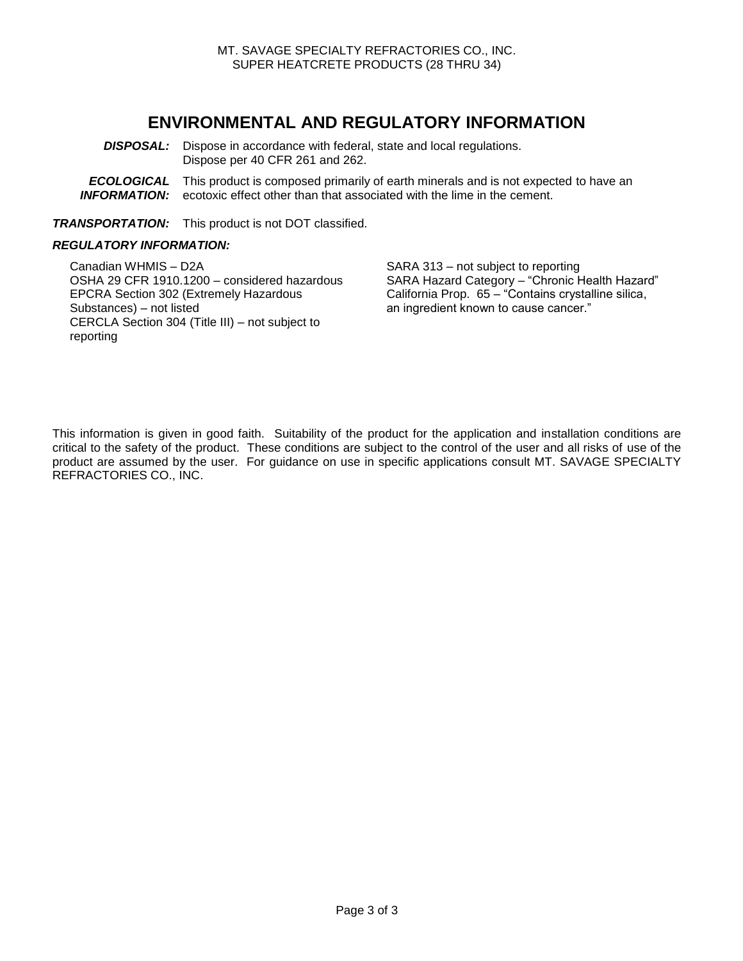#### **ENVIRONMENTAL AND REGULATORY INFORMATION**

- **DISPOSAL:** Dispose in accordance with federal, state and local regulations. Dispose per 40 CFR 261 and 262.
- **ECOLOGICAL** This product is composed primarily of earth minerals and is not expected to have an **INFORMATION:** ecotoxic effect other than that associated with the lime in the cement.

*TRANSPORTATION:* This product is not DOT classified.

#### *REGULATORY INFORMATION:*

Canadian WHMIS – D2A SARA 313 – not subject to reporting OSHA 29 CFR 1910.1200 – considered hazardous SARA Hazard Category – "Chronic Health Hazard" EPCRA Section 302 (Extremely Hazardous Substances) – not listed CERCLA Section 304 (Title III) – not subject to reporting

California Prop. 65 – "Contains crystalline silica, an ingredient known to cause cancer."

This information is given in good faith. Suitability of the product for the application and installation conditions are critical to the safety of the product. These conditions are subject to the control of the user and all risks of use of the product are assumed by the user. For guidance on use in specific applications consult MT. SAVAGE SPECIALTY REFRACTORIES CO., INC.